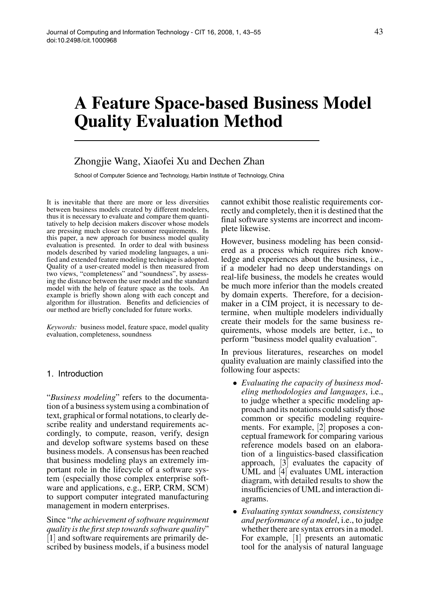# **A Feature Space-based Business Model Quality Evaluation Method**

# Zhongjie Wang, Xiaofei Xu and Dechen Zhan

School of Computer Science and Technology, Harbin Institute of Technology, China

It is inevitable that there are more or less diversities between business models created by different modelers, thus it is necessary to evaluate and compare them quantitatively to help decision makers discover whose models are pressing much closer to customer requirements. In this paper, a new approach for business model quality evaluation is presented. In order to deal with business models described by varied modeling languages, a unified and extended feature modeling technique is adopted. Quality of a user-created model is then measured from two views, "completeness" and "soundness", by assessing the distance between the user model and the standard model with the help of feature space as the tools. An example is briefly shown along with each concept and algorithm for illustration. Benefits and deficiencies of our method are briefly concluded for future works.

*Keywords:* business model, feature space, model quality evaluation, completeness, soundness

# 1. Introduction

"*Business modeling*" refers to the documentation of a business system using a combination of text, graphical or formal notations, to clearly describe reality and understand requirements accordingly, to compute, reason, verify, design and develop software systems based on these business models. A consensus has been reached that business modeling plays an extremely important role in the lifecycle of a software system (especially those complex enterprise software and applications, e.g., ERP, CRM, SCM) to support computer integrated manufacturing management in modern enterprises.

Since "*the achievement of software requirement quality is the first step towards software quality*" [1] and software requirements are primarily described by business models, if a business model

cannot exhibit those realistic requirements correctly and completely, then it is destined that the final software systems are incorrect and incomplete likewise.

However, business modeling has been considered as a process which requires rich knowledge and experiences about the business, i.e., if a modeler had no deep understandings on real-life business, the models he creates would be much more inferior than the models created by domain experts. Therefore, for a decisionmaker in a CIM project, it is necessary to determine, when multiple modelers individually create their models for the same business requirements, whose models are better, i.e., to perform "business model quality evaluation".

In previous literatures, researches on model quality evaluation are mainly classified into the following four aspects:

- *Evaluating the capacity of business modeling methodologies and languages*, i.e., to judge whether a specific modeling approach and its notations could satisfy those common or specific modeling requirements. For example, [2] proposes a conceptual framework for comparing various reference models based on an elaboration of a linguistics-based classification approach, [3] evaluates the capacity of UML and [4] evaluates UML interaction diagram, with detailed results to show the insufficiencies of UML and interaction diagrams.
- *Evaluating syntax soundness, consistency and performance of a model*, i.e., to judge whether there are syntax errors in a model. For example, [1] presents an automatic tool for the analysis of natural language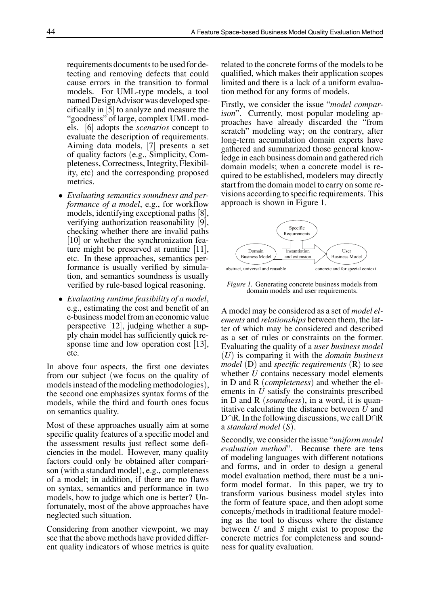requirements documents to be used for detecting and removing defects that could cause errors in the transition to formal models. For UML-type models, a tool named DesignAdvisor was developed specifically in [5] to analyze and measure the "goodness" of large, complex UML models. [6] adopts the *scenarios* concept to evaluate the description of requirements. Aiming data models, [7] presents a set of quality factors (e.g., Simplicity, Completeness, Correctness, Integrity, Flexibility, etc) and the corresponding proposed metrics.

- *Evaluating semantics soundness and performance of a model*, e.g., for workflow models, identifying exceptional paths [8], verifying authorization reasonability [9], checking whether there are invalid paths [10] or whether the synchronization feature might be preserved at runtime [11], etc. In these approaches, semantics performance is usually verified by simulation, and semantics soundness is usually verified by rule-based logical reasoning.
- *Evaluating runtime feasibility of a model*, e.g., estimating the cost and benefit of an e-business model from an economic value perspective [12], judging whether a supply chain model has sufficiently quick response time and low operation cost [13], etc.

In above four aspects, the first one deviates from our subject (we focus on the quality of models instead of the modeling methodologies), the second one emphasizes syntax forms of the models, while the third and fourth ones focus on semantics quality.

Most of these approaches usually aim at some specific quality features of a specific model and the assessment results just reflect some deficiencies in the model. However, many quality factors could only be obtained after comparison (with a standard model), e.g., completeness of a model; in addition, if there are no flaws on syntax, semantics and performance in two models, how to judge which one is better? Unfortunately, most of the above approaches have neglected such situation.

Considering from another viewpoint, we may see that the above methods have provided different quality indicators of whose metrics is quite related to the concrete forms of the models to be qualified, which makes their application scopes limited and there is a lack of a uniform evaluation method for any forms of models.

Firstly, we consider the issue "*model comparison*". Currently, most popular modeling approaches have already discarded the "from scratch" modeling way; on the contrary, after long-term accumulation domain experts have gathered and summarized those general knowledge in each business domain and gathered rich domain models; when a concrete model is required to be established, modelers may directly start from the domain model to carry on some revisions according to specific requirements. This approach is shown in Figure 1.



*Figure 1.* Generating concrete business models from domain models and user requirements.

A model may be considered as a set of *model elements* and *relationships* between them, the latter of which may be considered and described as a set of rules or constraints on the former. Evaluating the quality of a *user business model* (*U*) is comparing it with the *domain business model* (D) and *specific requirements* (R) to see whether *U* contains necessary model elements in D and R (*completeness*) and whether the elements in *U* satisfy the constraints prescribed in D and R (*soundness*), in a word, it is quantitative calculating the distance between *U* and D∩R. In the following discussions, we call D∩R a *standard model* (*S*).

Secondly, we consider the issue "*uniform model evaluation method*". Because there are tens of modeling languages with different notations and forms, and in order to design a general model evaluation method, there must be a uniform model format. In this paper, we try to transform various business model styles into the form of feature space, and then adopt some concepts*/*methods in traditional feature modeling as the tool to discuss where the distance between *U* and *S* might exist to propose the concrete metrics for completeness and soundness for quality evaluation.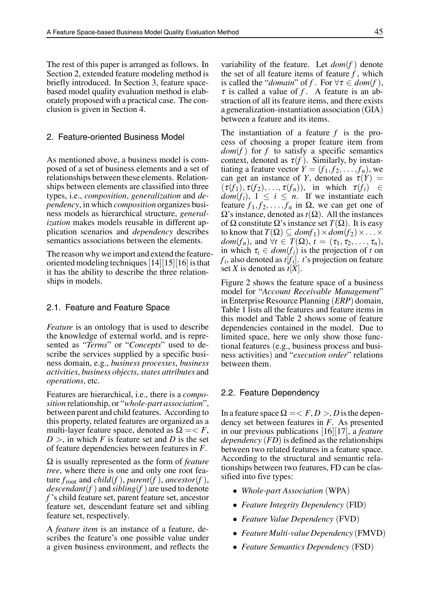The rest of this paper is arranged as follows. In Section 2, extended feature modeling method is briefly introduced. In Section 3, feature spacebased model quality evaluation method is elaborately proposed with a practical case. The conclusion is given in Section 4.

#### 2. Feature-oriented Business Model

As mentioned above, a business model is composed of a set of business elements and a set of relationships between these elements. Relationships between elements are classified into three types, i.e., *composition*, *generalization* and *dependency*, in which *composition* organizes business models as hierarchical structure, *generalization* makes models reusable in different application scenarios and *dependency* describes semantics associations between the elements.

The reason why we import and extend the featureoriented modeling techniques  $[14][15][16]$  is that it has the ability to describe the three relationships in models.

#### 2.1. Feature and Feature Space

*Feature* is an ontology that is used to describe the knowledge of external world, and is represented as "*Terms*" or "*Concepts*" used to describe the services supplied by a specific business domain, e.g., *business processes*, *business activities*, *business objects*, *states attributes* and *operations*, etc.

Features are hierarchical, i.e., there is a *composition* relationship, or "*whole-part association*", between parent and child features. According to this property, related features are organized as a multi-layer feature space, denoted as  $\Omega = \langle F, \rangle$  $D >$ , in which *F* is feature set and *D* is the set of feature dependencies between features in *F*.

Ω is usually represented as the form of *feature tree*, where there is one and only one root feature  $f_{\text{root}}$  and  $child(f)$ ,  $parent(f)$ , ancestor $(f)$ , *descendant*(*f* ) and *sibling*(*f* ) are used to denote *f* 's child feature set, parent feature set, ancestor feature set, descendant feature set and sibling feature set, respectively.

A *feature item* is an instance of a feature, describes the feature's one possible value under a given business environment, and reflects the variability of the feature. Let *dom*(*f* ) denote the set of all feature items of feature  $f$ , which is called the "*domain*" of *f*. For  $\forall \tau \in dom(f)$ ,  $\tau$  is called a value of  $f$ . A feature is an abstraction of all its feature items, and there exists a generalization-instantiation association (GIA) between a feature and its items.

The instantiation of a feature *f* is the process of choosing a proper feature item from  $dom(f)$  for  $f$  to satisfy a specific semantics context, denoted as  $\tau(f)$ . Similarly, by instantiating a feature vector  $Y = (f_1, f_2, \ldots, f_n)$ , we can get an instance of *Y*, denoted as  $\tau(Y)$  =  $(\tau(f_1), \tau(f_2), \ldots, \tau(f_n)),$  in which  $\tau(f_i) \in$  $dom(f_i)$ ,  $1 \leq i \leq n$ . If we instantiate each feature  $f_1, f_2, \ldots, f_n$  in  $\Omega$ , we can get one of Ω's instance, denoted as *t*(Ω). All the instances of Ω constitute Ω's instance set  $T(\Omega)$ . It is easy to know that  $T(\Omega) \subseteq \text{dom} f_1) \times \text{dom}(f_2) \times \ldots \times$ *dom*( $f_n$ ), and  $\forall t \in T(\Omega)$ ,  $t = (\tau_1, \tau_2, \ldots, \tau_n)$ , in which  $\tau_i \in dom(f_i)$  is the projection of *t* on  $f_i$ , also denoted as  $t[f_i]$ . *t*'s projection on feature set *X* is denoted as *t*[*X*].

Figure 2 shows the feature space of a business model for "*Account Receivable Management*" in Enterprise Resource Planning (*ERP*) domain, Table 1 lists all the features and feature items in this model and Table 2 shows some of feature dependencies contained in the model. Due to limited space, here we only show those functional features (e.g., business process and business activities) and "*execution order*" relations between them.

#### 2.2. Feature Dependency

In a feature space  $\Omega = \langle F, D \rangle$ , *D* is the dependency set between features in *F*. As presented in our previous publications [16][17], a *feature dependency* (*FD*) is defined as the relationships between two related features in a feature space. According to the structural and semantic relationships between two features, FD can be classified into five types:

- *Whole-part Association* (WPA)
- *Feature Integrity Dependency* (FID)
- *Feature Value Dependency* (FVD)
- *Feature Multi-value Dependency* (FMVD)
- *Feature Semantics Dependency* (FSD)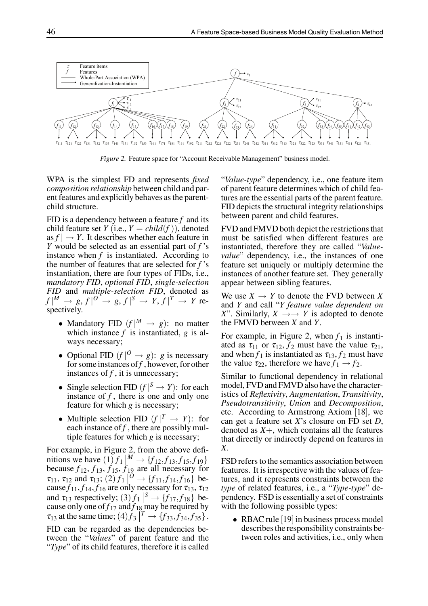

*Figure 2.* Feature space for "Account Receivable Management" business model.

WPA is the simplest FD and represents *fixed composition relationship* between child and parent features and explicitly behaves as the parentchild structure.

FID is a dependency between a feature *f* and its child feature set *Y* (i.e.,  $Y = child(f)$ ), denoted as  $f \rightarrow Y$ . It describes whether each feature in *Y* would be selected as an essential part of *f* 's instance when *f* is instantiated. According to the number of features that are selected for *f* 's instantiation, there are four types of FIDs, i.e., *mandatory FID*, *optional FID*, *single-selection FID* and *multiple-selection FID*, denoted as  $f \vert^M \to g$ ,  $f \vert^O \to g$ ,  $f \vert^S \to Y$ ,  $f \vert^T \to Y$  respectively.

- Mandatory FID  $(f \mid M) \to g$ : no matter which instance *f* is instantiated, *g* is always necessary;
- Optional FID  $(f |^{O} \rightarrow g)$ : *g* is necessary for some instances of*f* , however, for other instances of *f* , it is unnecessary;
- Single selection FID  $(f \mid S \to Y)$ : for each instance of *f* , there is one and only one feature for which *g* is necessary;
- Multiple selection FID  $(f | T \rightarrow Y)$ : for each instance of  $f$ , there are possibly multiple features for which *g* is necessary;

For example, in Figure 2, from the above definitions we have  $(1) f_1 \vert^M \rightarrow \{f_{12}, f_{13}, f_{15}, f_{19}\}$ because  $f_{12}$ ,  $f_{13}$ ,  $f_{15}$ ,  $f_{19}$  are all necessary for  $\tau_{11}$ ,  $\tau_{12}$  and  $\tau_{13}$ ;  $(2)f_1|^0 \rightarrow \{f_{11}, f_{14}, f_{16}\}$  because  $f_{11}, f_{14}, f_{16}$  are only necessary for  $\tau_{13}, \tau_{12}$ and  $\tau_{13}$  respectively;  $(3) f_1 \vert^S \rightarrow \{f_{17}, f_{18}\}$  because only one of  $f_{17}$  and  $f_{18}$  may be required by  $\tau_{13}$  at the same time; (4)  $f_3$   $\Big|^{T} \to \{f_{33}, f_{34}, f_{35}\}.$ FID can be regarded as the dependencies between the "*Values*" of parent feature and the "*Type*" of its child features, therefore it is called "*Value-type*" dependency, i.e., one feature item of parent feature determines which of child features are the essential parts of the parent feature. FID depicts the structural integrity relationships between parent and child features.

FVD and FMVD both depict the restrictions that must be satisfied when different features are instantiated, therefore they are called "*Valuevalue*" dependency, i.e., the instances of one feature set uniquely or multiply determine the instances of another feature set. They generally appear between sibling features.

We use  $X \rightarrow Y$  to denote the FVD between X and *Y* and call "*Y feature value dependent on X*". Similarly,  $X \rightarrow Y$  is adopted to denote the FMVD between *X* and *Y*.

For example, in Figure 2, when  $f_1$  is instantiated as  $\tau_{11}$  or  $\tau_{12}$ ,  $f_2$  must have the value  $\tau_{21}$ , and when  $f_1$  is instantiated as  $\tau_{13}$ ,  $f_2$  must have the value  $\tau_{22}$ , therefore we have  $f_1 \rightarrow f_2$ .

Similar to functional dependency in relational model, FVD and FMVD also have the characteristics of *Reflexivity*, *Augmentation*, *Transitivity*, *Pseudotransitivity*, *Union* and *Decomposition*, etc. According to Armstrong Axiom [18], we can get a feature set *X*'s closure on FD set *D*, denoted as  $X+$ , which contains all the features that directly or indirectly depend on features in *X*.

FSD refers to the semantics association between features. It is irrespective with the values of features, and it represents constraints between the *type* of related features, i.e., a "*Type-type*" dependency. FSD is essentially a set of constraints with the following possible types:

• RBAC rule [19] in business process model describes the responsibility constraints between roles and activities, i.e., only when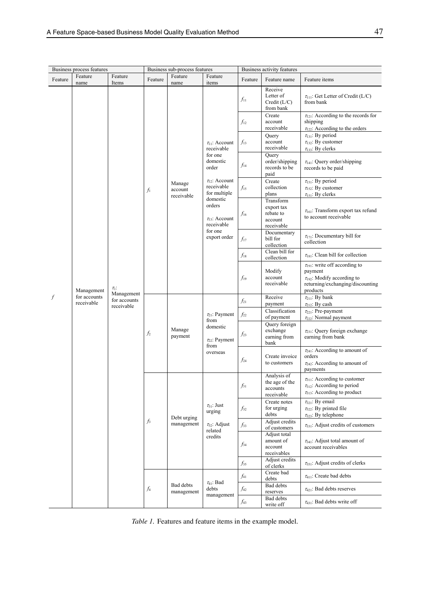|         | Business process features                |                                          |             | Business sub-process features   |                                                                                                                                                                                                                    |          | Business activity features                                    |                                                                                                                                        |  |
|---------|------------------------------------------|------------------------------------------|-------------|---------------------------------|--------------------------------------------------------------------------------------------------------------------------------------------------------------------------------------------------------------------|----------|---------------------------------------------------------------|----------------------------------------------------------------------------------------------------------------------------------------|--|
| Feature | Feature<br>name                          | Feature<br>Items                         | Feature     | Feature<br>name                 | Feature<br>items                                                                                                                                                                                                   | Feature  | Feature name                                                  | Feature items                                                                                                                          |  |
|         |                                          |                                          | $f_1$       | Manage<br>account<br>receivable | $\tau_{11}$ : Account<br>receivable<br>for one<br>domestic<br>order<br>$\tau_{12}$ : Account<br>receivable<br>for multiple<br>domestic<br>orders<br>$\tau_{13}$ : Account<br>receivable<br>for one<br>export order | $f_{11}$ | Receive<br>Letter of<br>Credit $(L/C)$<br>from bank           | $\tau_{111}$ : Get Letter of Credit (L/C)<br>from bank                                                                                 |  |
|         |                                          |                                          |             |                                 |                                                                                                                                                                                                                    | $f_{12}$ | Create<br>account<br>receivable                               | $\tau_{121}$ : According to the records for<br>shipping<br>$\tau_{122}$ : According to the orders                                      |  |
|         |                                          |                                          |             |                                 |                                                                                                                                                                                                                    | $f_{13}$ | Query<br>account<br>receivable                                | $\tau_{131}$ : By period<br>$\tau_{132}$ : By customer<br>$\tau_{133}$ : By clerks                                                     |  |
|         |                                          |                                          |             |                                 |                                                                                                                                                                                                                    | $f_{14}$ | Query<br>order/shipping<br>records to be<br>paid              | $\tau_{141}$ : Query order/shipping<br>records to be paid                                                                              |  |
|         |                                          |                                          |             |                                 |                                                                                                                                                                                                                    | $f_{15}$ | Create<br>collection<br>plans                                 | $\tau_{151}$ : By period<br>$\tau_{152}$ : By customer<br>$\tau_{151}$ : By clerks                                                     |  |
|         |                                          |                                          |             |                                 |                                                                                                                                                                                                                    | $f_{16}$ | Transform<br>export tax<br>rebate to<br>account<br>receivable | $\tau_{161}$ Transform export tax refund<br>to account receivable                                                                      |  |
|         |                                          |                                          |             |                                 |                                                                                                                                                                                                                    | $f_{17}$ | Documentary<br>bill for<br>collection                         | $\tau_{171}$ : Documentary bill for<br>collection                                                                                      |  |
|         |                                          |                                          |             |                                 |                                                                                                                                                                                                                    | $f_{18}$ | Clean bill for<br>collection                                  | $\tau_{181}$ : Clean bill for collection                                                                                               |  |
|         | Management<br>for accounts<br>receivable | $\tau_1$ :                               |             |                                 |                                                                                                                                                                                                                    | $f_{19}$ | Modify<br>account<br>receivable                               | $\tau_{191}$ : write off according to<br>payment<br>$\tau_{192}$ : Modify according to<br>returning/exchanging/discounting<br>products |  |
| f       |                                          | Management<br>for accounts<br>receivable | $f_2$       | Manage<br>payment               | $\tau_{21}$ : Payment<br>from<br>domestic<br>$\tau_{22}$ : Payment<br>from<br>overseas                                                                                                                             | $f_{21}$ | Receive<br>payment                                            | $\tau_{211}$ : By bank<br>$\tau_{212}$ : By cash                                                                                       |  |
|         |                                          |                                          |             |                                 |                                                                                                                                                                                                                    | $f_{22}$ | Classification<br>of payment                                  | $\tau_{221}$ : Pre-payment<br>$\tau_{222}$ : Normal payment                                                                            |  |
|         |                                          |                                          |             |                                 |                                                                                                                                                                                                                    | $f_{23}$ | Query foreign<br>exchange<br>earning from<br>bank             | $\tau_{231}$ : Query foreign exchange<br>earning from bank                                                                             |  |
|         |                                          |                                          |             |                                 |                                                                                                                                                                                                                    | $f_{24}$ | Create invoice<br>to customers                                | $\tau_{241}$ : According to amount of<br>orders<br>$\tau_{242}$ : According to amount of<br>payments                                   |  |
|         |                                          |                                          | $f_3$       | Debt urging<br>management       | $\tau_{31}$ : Just<br>urging<br>$\tau_{32}$ : Adjust<br>related<br>credits                                                                                                                                         | $f_{31}$ | Analysis of<br>the age of the<br>accounts<br>receivable       | $\tau_{311}$ : According to customer<br>$\tau_{312}$ : According to period<br>$\tau_{313}$ : According to product                      |  |
|         |                                          |                                          |             |                                 |                                                                                                                                                                                                                    | $f_{32}$ | Create notes<br>for urging<br>debts                           | $\tau_{321}$ : By email<br>$\tau_{322}$ : By printed file<br>$\tau_{323}$ : By telephone                                               |  |
|         |                                          |                                          |             |                                 |                                                                                                                                                                                                                    | $f_{33}$ | Adjust credits<br>of customers                                | $\tau_{331}$ : Adjust credits of customers                                                                                             |  |
|         |                                          |                                          |             |                                 |                                                                                                                                                                                                                    | $f_{34}$ | Adjust total<br>amount of<br>account<br>receivables           | $\tau_{341}$ : Adjust total amount of<br>account receivables                                                                           |  |
|         |                                          |                                          |             |                                 |                                                                                                                                                                                                                    | $f_{35}$ | Adjust credits<br>of clerks                                   | $\tau_{351}$ : Adjust credits of clerks                                                                                                |  |
|         |                                          |                                          | $f_{\rm 4}$ | Bad debts<br>management         | $\tau_{41}$ : Bad<br>debts<br>management                                                                                                                                                                           | $f_{41}$ | Create bad<br>debts                                           | $\tau_{411}$ : Create bad debts                                                                                                        |  |
|         |                                          |                                          |             |                                 |                                                                                                                                                                                                                    | $f_{42}$ | Bad debts<br>reserves                                         | $\tau_{421}$ : Bad debts reserves                                                                                                      |  |
|         |                                          |                                          |             |                                 |                                                                                                                                                                                                                    | $f_{43}$ | Bad debts<br>write off                                        | $\tau_{431}$ : Bad debts write off                                                                                                     |  |

*Table 1.* Features and feature items in the example model.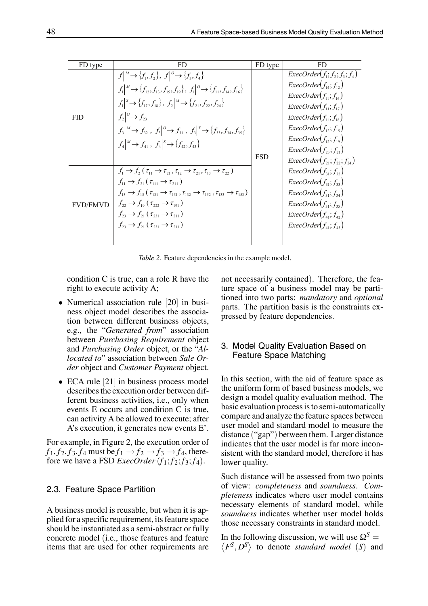| FD type         | FD.                                                                                                                                                                                                                                                                                       | FD type    | FD.                                 |
|-----------------|-------------------------------------------------------------------------------------------------------------------------------------------------------------------------------------------------------------------------------------------------------------------------------------------|------------|-------------------------------------|
|                 | $f \vert^M \to \{f_1, f_2\}, f \vert^0 \to \{f_3, f_4\}$                                                                                                                                                                                                                                  | <b>FSD</b> | $ExecOrder(f_i; f_i; f_i; f_4)$     |
|                 | $f_1 \vert^M \rightarrow \{f_{12}, f_{13}, f_{15}, f_{19}\}, f_1 \vert^0 \rightarrow \{f_{11}, f_{14}, f_{16}\}$                                                                                                                                                                          |            | $ExecOrder(f_{14}; f_{12})$         |
|                 |                                                                                                                                                                                                                                                                                           |            | $ExecOrder(f_{11}; f_{16})$         |
|                 | $f_1^{\,s} \rightarrow \{f_{17}, f_{18}\}, f_2^{\,s} \rightarrow \{f_{21}, f_{22}, f_{24}\}$                                                                                                                                                                                              |            | $ExecOrder(f_{11}; f_{17})$         |
| <b>FID</b>      | $f_2 ^0 \rightarrow f_{23}$<br>$f_3 \vert^M \rightarrow f_{32}$ , $f_3 \vert^0 \rightarrow f_{31}$ , $f_3 \vert^1 \rightarrow \{f_{33}, f_{34}, f_{35}\}$                                                                                                                                 |            | $ExecOrder(f_{11}; f_{18})$         |
|                 |                                                                                                                                                                                                                                                                                           |            | $ExecOrder(f_1, f_1, f_2)$          |
|                 |                                                                                                                                                                                                                                                                                           |            | $ExecOrder(f_1, f_1)$               |
|                 | $f_4 \vert^M \rightarrow f_{41}$ , $f_4 \vert^s \rightarrow \{f_{42}, f_{43}\}$                                                                                                                                                                                                           |            | $ExecOrder(f_{23}; f_{21})$         |
|                 |                                                                                                                                                                                                                                                                                           |            | $ExecOrder(f_{21}; f_{22}; f_{24})$ |
|                 | $f_1 \to f_2$ ( $\tau_{11} \to \tau_{21}$ , $\tau_{12} \to \tau_{21}$ , $\tau_{13} \to \tau_{22}$ )                                                                                                                                                                                       |            | $ExecOrder(f_{31}; f_{32})$         |
|                 | $f_{11} \rightarrow f_{21} (\tau_{111} \rightarrow \tau_{211})$<br>$f_{13} \rightarrow f_{15}$ ( $\tau_{131} \rightarrow \tau_{151}$ , $\tau_{132} \rightarrow \tau_{152}$ , $\tau_{133} \rightarrow \tau_{153}$ )<br>$f_{22} \rightarrow f_{19}$ ( $\tau_{222} \rightarrow \tau_{191}$ ) |            | $ExecOrder(f_{31}; f_{33})$         |
|                 |                                                                                                                                                                                                                                                                                           |            | $ExecOrder(f_{31}; f_{34})$         |
| <b>FVD/FMVD</b> |                                                                                                                                                                                                                                                                                           |            | $ExecOrder(f_{31}; f_{35})$         |
|                 | $f_{23} \to f_{21} (\tau_{231} \to \tau_{211})$                                                                                                                                                                                                                                           |            | $ExecOrder(f_{41}; f_{42})$         |
|                 | $f_{23} \to f_{21} (\tau_{231} \to \tau_{211})$                                                                                                                                                                                                                                           |            | $ExecOrder(f_{41}; f_{43})$         |
|                 |                                                                                                                                                                                                                                                                                           |            |                                     |

*Table 2.* Feature dependencies in the example model.

condition C is true, can a role R have the right to execute activity A;

- Numerical association rule [20] in business object model describes the association between different business objects, e.g., the "*Generated from*" association between *Purchasing Requirement* object and *Purchasing Order* object, or the "*Allocated to*" association between *Sale Order* object and *Customer Payment* object.
- ECA rule [21] in business process model describes the execution order between different business activities, i.e., only when events E occurs and condition C is true, can activity A be allowed to execute; after A's execution, it generates new events E'.

For example, in Figure 2, the execution order of  $f_1$ ,  $f_2$ ,  $f_3$ ,  $f_4$  must be  $f_1 \rightarrow f_2 \rightarrow f_3 \rightarrow f_4$ , therefore we have a FSD *ExecOrder*  $(f_1; f_2; f_3; f_4)$ .

# 2.3. Feature Space Partition

A business model is reusable, but when it is applied for a specific requirement, its feature space should be instantiated as a semi-abstract or fully concrete model (i.e., those features and feature items that are used for other requirements are not necessarily contained). Therefore, the feature space of a business model may be partitioned into two parts: *mandatory* and *optional* parts. The partition basis is the constraints expressed by feature dependencies.

# 3. Model Quality Evaluation Based on Feature Space Matching

In this section, with the aid of feature space as the uniform form of based business models, we design a model quality evaluation method. The basic evaluation process is to semi-automatically compare and analyze the feature spaces between user model and standard model to measure the distance ("gap") between them. Larger distance indicates that the user model is far more inconsistent with the standard model, therefore it has lower quality.

Such distance will be assessed from two points of view: *completeness* and *soundness*. *Completeness* indicates where user model contains necessary elements of standard model, while *soundness* indicates whether user model holds those necessary constraints in standard model.

 $\langle F^S, D^S \rangle$  to denote *standard model* (*S*) and In the following discussion, we will use  $\Omega^{S}$  =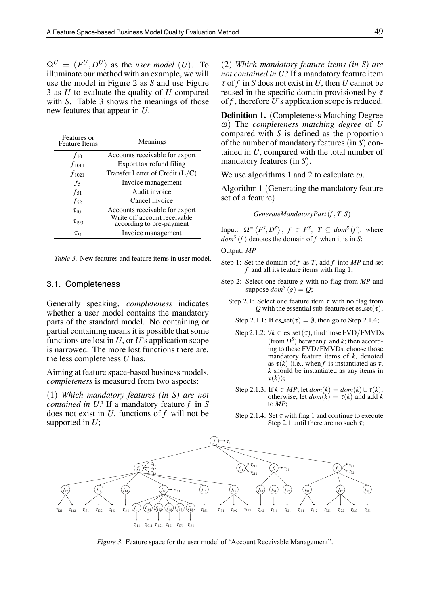$\Omega^U = \langle F^U, D^U \rangle$  as the *user model* (*U*). To illuminate our method with an example, we will use the model in Figure 2 as *S* and use Figure 3 as *U* to evaluate the quality of *U* compared with *S*. Table 3 shows the meanings of those new features that appear in *U*.

| Features or<br><b>Feature Items</b> | Meanings                                                 |
|-------------------------------------|----------------------------------------------------------|
| $f_{10}$                            | Accounts receivable for export                           |
| $f_{1011}$                          | Export tax refund filing                                 |
| $f_{1021}$                          | Transfer Letter of Credit $(L/C)$                        |
| $f_5$                               | Invoice management                                       |
| $f_{51}$                            | Audit invoice                                            |
| $f_{52}$                            | Cancel invoice                                           |
| $\tau_{101}$                        | Accounts receivable for export                           |
| $\tau_{193}$                        | Write off account receivable<br>according to pre-payment |
| $\tau_{51}$                         | Invoice management                                       |

*Table 3.* New features and feature items in user model.

#### 3.1. Completeness

Generally speaking, *completeness* indicates whether a user model contains the mandatory parts of the standard model. No containing or partial containing means it is possible that some functions are lost in *U*, or *U*'s application scope is narrowed. The more lost functions there are, the less completeness *U* has.

Aiming at feature space-based business models, *completeness* is measured from two aspects:

(1) *Which mandatory features (in S) are not contained in U?* If a mandatory feature *f* in *S* does not exist in *U*, functions of *f* will not be supported in *U*;

(2) *Which mandatory feature items (in S) are not contained in U?* If a mandatory feature item <sup>τ</sup> of *f* in *S* does not exist in *U*, then *U* cannot be reused in the specific domain provisioned by  $\tau$ of *f* , therefore *U*'s application scope is reduced.

**Definition 1.** (Completeness Matching Degree <sup>ω</sup>) The *completeness matching degree* of *U* compared with *S* is defined as the proportion of the number of mandatory features (in *S*) contained in *U*, compared with the total number of mandatory features (in *S*).

We use algorithms 1 and 2 to calculate  $\omega$ .

Algorithm 1 (Generating the mandatory feature set of a feature)

*GenerateMandatoryPart*(*f , T, S*)

Input:  $\Omega = \langle F^S, D^S \rangle$ ,  $f \in F^S$ ,  $T \subseteq dom^S(f)$ , where  $dom^S(f)$  denotes the domain of *f* when it is in *S*;

Output: *MP*

- Step 1: Set the domain of *f* as *T*, add *f* into *MP* and set *f* and all its feature items with flag 1;
- Step 2: Select one feature *g* with no flag from *MP* and suppose  $dom^S(g) = Q$ ;
	- Step 2.1: Select one feature item  $\tau$  with no flag from *Q* with the essential sub-feature set es set( $\tau$ );

Step 2.1.1: If es\_set( $\tau$ ) =  $\emptyset$ , then go to Step 2.1.4;

- Step 2.1.2:  $\forall k \in \text{es\_set}(\tau)$ , find those FVD/FMVDs (from  $D^S$ ) between f and k; then according to these FVD*/*FMVDs, choose those mandatory feature items of *k*, denoted as  $\tau(k)$  (i.e., when *f* is instantiated as  $\tau$ , *k* should be instantiated as any items in  $\tau(k)$ ;
- Step 2.1.3: If  $k \in MP$ , let  $dom(k) = dom(k) \cup \tau(k)$ ; otherwise, let  $dom(k) = \tau(k)$  and add *k* to *MP*;
- Step 2.1.4: Set  $\tau$  with flag 1 and continue to execute Step 2.1 until there are no such  $\tau$ ;



*Figure 3.* Feature space for the user model of "Account Receivable Management".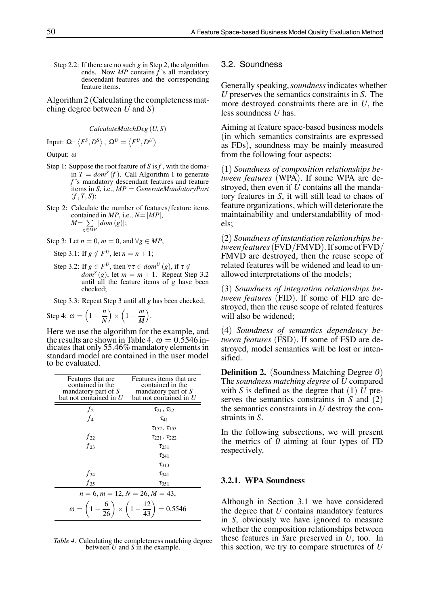Step 2.2: If there are no such *g* in Step 2, the algorithm ends. Now *MP* contains *f* 's all mandatory descendant features and the corresponding feature items.

Algorithm 2 (Calculating the completeness matching degree between *U* and *S*)

#### *CalculateMatchDeg* (*U, S*)

Input: 
$$
\Omega = \langle F^S, D^S \rangle
$$
,  $\Omega^U = \langle F^U, D^U \rangle$ 

Output: <sup>ω</sup>

- Step 1: Suppose the root feature of *S* is *f* , with the domain  $T = dom^S(f)$ . Call Algorithm 1 to generate *f*'s mandatory descendant features and feature items in *S*, i.e., *MP* = *GenerateMandatoryPart*  $(f, T, S);$
- Step 2: Calculate the number of features*/*feature items contained in  $MP$ , i.e.,  $N = |MP|$ ,  $M = \sum$ *g*∈*MP* |*dom* (*g*)|;

Step 3: Let 
$$
n = 0
$$
,  $m = 0$ , and  $\forall g \in MP$ ,

Step 3.1: If  $g \notin F^U$ , let  $n = n + 1$ ;

Step 3.2: If  $g \in F^U$ , then  $\forall \tau \in dom^U(g)$ , if  $\tau \notin$  $dom^S(g)$ , let  $m = m + 1$ . Repeat Step 3.2 until all the feature items of *g* have been checked;

Step 3.3: Repeat Step 3 until all *g* has been checked;

.

Step 4: 
$$
\omega = \left(1 - \frac{n}{N}\right) \times \left(1 - \frac{m}{M}\right)
$$

Here we use the algorithm for the example, and the results are shown in Table 4.  $\omega = 0.5546$  indicates that only 55*.*46% mandatory elements in standard model are contained in the user model to be evaluated.

| Features that are<br>contained in the<br>mandatory part of $S_{-}$<br>but not contained in $U$ | Features items that are<br>contained in the<br>mandatory part of S<br>but not contained in $U$ |  |
|------------------------------------------------------------------------------------------------|------------------------------------------------------------------------------------------------|--|
| f <sub>2</sub>                                                                                 | $\tau_{21}, \tau_{22}$                                                                         |  |
| $f_4$                                                                                          | $\tau_{41}$                                                                                    |  |
|                                                                                                | $\tau_{152}, \tau_{153}$                                                                       |  |
| $f_{22}$                                                                                       | $\tau_{221}, \tau_{222}$                                                                       |  |
| $f_{23}$                                                                                       | $\tau_{231}$                                                                                   |  |
|                                                                                                | $\tau_{241}$                                                                                   |  |
|                                                                                                | $\tau_{313}$                                                                                   |  |
| $f_{34}$                                                                                       | $\tau_{341}$                                                                                   |  |
| $f_{35}$                                                                                       | $\tau_{351}$                                                                                   |  |
| $n = 6, m = 12, N = 26, M = 43,$                                                               |                                                                                                |  |
|                                                                                                | $\omega = \left(1 - \frac{6}{26}\right) \times \left(1 - \frac{12}{43}\right) = 0.5546$        |  |

*Table 4.* Calculating the completeness matching degree between *U* and *S* in the example.

#### 3.2. Soundness

Generally speaking,*soundness*indicates whether *U* preserves the semantics constraints in *S*. The more destroyed constraints there are in *U*, the less soundness *U* has.

Aiming at feature space-based business models (in which semantics constraints are expressed as FDs), soundness may be mainly measured from the following four aspects:

(1) *Soundness of composition relationships between features* (WPA). If some WPA are destroyed, then even if *U* contains all the mandatory features in *S*, it will still lead to chaos of feature organizations, which will deteriorate the maintainability and understandability of models;

(2) *Soundness of instantiation relationships between features*(FVD*/*FMVD). If some of FVD*/* FMVD are destroyed, then the reuse scope of related features will be widened and lead to unallowed interpretations of the models;

(3) *Soundness of integration relationships between features* (FID). If some of FID are destroyed, then the reuse scope of related features will also be widened;

(4) *Soundness of semantics dependency between features* (FSD). If some of FSD are destroyed, model semantics will be lost or intensified.

**Definition 2.** (Soundness Matching Degree θ) The *soundness matching degree* of *U* compared with *S* is defined as the degree that (1) *U* preserves the semantics constraints in *S* and (2) the semantics constraints in *U* destroy the constraints in *S*.

In the following subsections, we will present the metrics of  $\theta$  aiming at four types of FD respectively.

#### **3.2.1. WPA Soundness**

Although in Section 3.1 we have considered the degree that *U* contains mandatory features in *S*, obviously we have ignored to measure whether the composition relationships between these features in *S*are preserved in *U*, too. In this section, we try to compare structures of *U*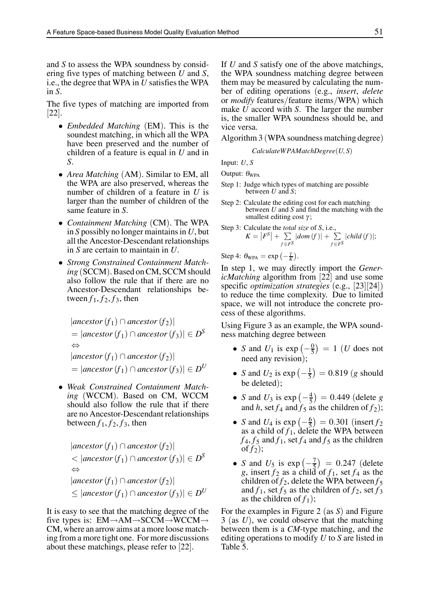and *S* to assess the WPA soundness by considering five types of matching between *U* and *S*, i.e., the degree that WPA in *U* satisfies the WPA in *S*.

The five types of matching are imported from [22].

- *Embedded Matching* (EM). This is the soundest matching, in which all the WPA have been preserved and the number of children of a feature is equal in *U* and in *S*.
- *Area Matching* (AM). Similar to EM, all the WPA are also preserved, whereas the number of children of a feature in *U* is larger than the number of children of the same feature in *S*.
- *Containment Matching* (CM). The WPA in *S* possibly no longer maintains in *U*, but all the Ancestor-Descendant relationships in *S* are certain to maintain in *U*.
- *Strong Constrained Containment Matching* (SCCM). Based on CM, SCCM should also follow the rule that if there are no Ancestor-Descendant relationships between  $f_1, f_2, f_3$ , then

$$
|ancestor(f_1) \cap ancestor(f_2)|
$$
  
= |ancestor(f\_1) \cap ancestor(f\_3)|  $\in D^S$   
 $\Leftrightarrow$   

$$
|ancestor(f_1) \cap ancestor(f_2)|
$$
  
= |ancestor(f\_1) \cap ancestor(f\_3)|  $\in D^U$ 

• *Weak Constrained Containment Matching* (WCCM). Based on CM, WCCM should also follow the rule that if there are no Ancestor-Descendant relationships between  $f_1, f_2, f_3$ , then

$$
|ancestor(f_1) \cap ancestor(f_2)|
$$
  
< 
$$
|ancestor(f_1) \cap ancestor(f_3)| \in D^S
$$
  

$$
\Leftrightarrow |ancestor(f_1) \cap ancestor(f_2)|
$$
  

$$
\leq |ancestor(f_1) \cap ancestor(f_3)| \in D^U
$$

It is easy to see that the matching degree of the five types is: EM→AM→SCCM→WCCM→ CM, where an arrow aims at a more loose matching from a more tight one. For more discussions about these matchings, please refer to [22].

If *U* and *S* satisfy one of the above matchings, the WPA soundness matching degree between them may be measured by calculating the number of editing operations (e.g., *insert*, *delete* or *modify* features*/*feature items*/*WPA) which make *U* accord with *S*. The larger the number is, the smaller WPA soundness should be, and vice versa.

Algorithm 3 (WPA soundness matching degree)

*CalculateWPAMatchDegree*(*U, S*)

Input: *U*, *S*

Output:  $\theta_{WPA}$ 

- Step 1: Judge which types of matching are possible between *U* and *S*;
- Step 2: Calculate the editing cost for each matching between *U* and *S* and find the matching with the smallest editing cost  $\gamma$ ;
- Step 3: Calculate the *total size* of *S*, i.e.,

$$
K = |F^{S}| + \sum_{f \in F^{S}} |dom(f)| + \sum_{f \in F^{S}} |child(f)|;
$$

.

Step 4: 
$$
\theta_{\text{WPA}} = \exp\left(-\frac{\gamma}{K}\right)
$$

In step 1, we may directly import the *GenericMatching* algorithm from [22] and use some specific *optimization strategies* (e.g., [23][24]) to reduce the time complexity. Due to limited space, we will not introduce the concrete process of these algorithms.

Using Figure 3 as an example, the WPA soundness matching degree between

- *S* and  $U_1$  is  $\exp\left(-\frac{0}{5}\right) = 1$  (*U* does not need any revision);
- *S* and  $U_2$  is  $\exp(-\frac{1}{5}) = 0.819$  (*g* should be deleted);
- *S* and *U*<sub>3</sub> is  $\exp(-\frac{4}{5}) = 0.449$  (delete *g* and *h*, set  $f_4$  and  $f_5$  as the children of  $f_2$ );
- *S* and *U*<sub>4</sub> is exp  $\left(-\frac{6}{5}\right) = 0.301$  (insert *f*<sub>2</sub> as a child of  $f_1$ , delete the WPA between  $f_4$ ,  $f_5$  and  $f_1$ , set  $f_4$  and  $f_5$  as the children of  $f_2$ );
- *S* and  $U_5$  is  $\exp(-\frac{7}{5}) = 0.247$  (delete *g*, insert  $f_2$  as a child of  $f_1$ , set  $f_4$  as the children of  $f_2$ , delete the WPA between  $f_5$ and  $f_1$ , set  $f_5$  as the children of  $f_2$ , set  $f_3$ as the children of  $f_1$ );

For the examples in Figure 2 (as *S*) and Figure 3 (as *U*), we could observe that the matching between them is a *CM*-type matching, and the editing operations to modify *U* to *S* are listed in Table 5.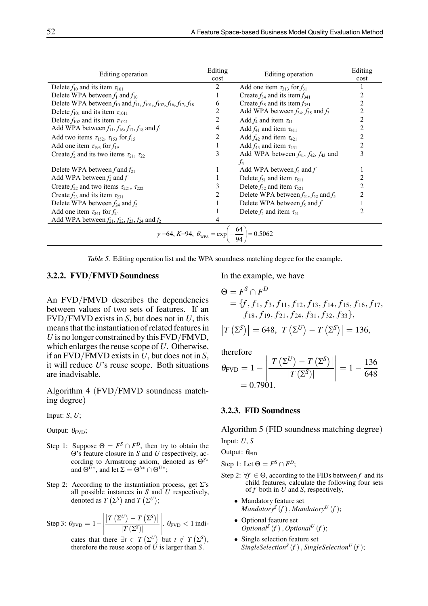| Editing operation                                                                                 | Editing<br>cost | Editing operation                                  | Editing<br>cost |
|---------------------------------------------------------------------------------------------------|-----------------|----------------------------------------------------|-----------------|
| Delete $f_{10}$ and its item $\tau_{101}$                                                         | 2               | Add one item $\tau_{313}$ for $f_{31}$             |                 |
| Delete WPA between $f_1$ and $f_{10}$                                                             |                 | Create $f_{34}$ and its item $f_{341}$             |                 |
| Delete WPA between $f_{10}$ and $f_{11}$ , $f_{101}$ , $f_{102}$ , $f_{16}$ , $f_{17}$ , $f_{18}$ | 6               | Create $f_{35}$ and its item $f_{351}$             | 2               |
| Delete $f_{101}$ and its item $\tau_{1011}$                                                       | 2               | Add WPA between $f_{34}, f_{35}$ and $f_3$         |                 |
| Delete $f_{102}$ and its item $\tau_{1021}$                                                       | 2               | Add $f_4$ and item $\tau_{41}$                     |                 |
| Add WPA between $f_{11}$ , $f_{16}$ , $f_{17}$ , $f_{18}$ and $f_1$                               | 4               | Add $f_{41}$ and item $\tau_{411}$                 |                 |
| Add two items $\tau_{152}$ , $\tau_{153}$ for $f_{15}$                                            | 2               | Add $f_{42}$ and item $\tau_{421}$                 | 2               |
| Add one item $\tau_{193}$ for $f_{19}$                                                            |                 | Add $f_{43}$ and item $\tau_{431}$                 | 2               |
| Create $f_2$ and its two items $\tau_{21}$ , $\tau_{22}$                                          | 3               | Add WPA between $f_{41}$ , $f_{42}$ , $f_{43}$ and | 3               |
|                                                                                                   |                 | $f_4$                                              |                 |
| Delete WPA between f and $f_{21}$                                                                 |                 | Add WPA between $f_4$ and $f$                      |                 |
| Add WPA between $f_2$ and $f$                                                                     |                 | Delete $f_{51}$ and item $\tau_{511}$              |                 |
| Create $f_{22}$ and two items $\tau_{221}$ , $\tau_{222}$                                         | 3               | Delete $f_{52}$ and item $\tau_{521}$              |                 |
| Create $f_{23}$ and its item $\tau_{231}$                                                         | 2               | Delete WPA between $f_{51}, f_{52}$ and $f_5$      |                 |
| Delete WPA between $f_{24}$ and $f_5$                                                             |                 | Delete WPA between $f_5$ and $f$                   |                 |
| Add one item $\tau_{241}$ for $f_{24}$                                                            |                 | Delete $f_5$ and item $\tau_{51}$                  |                 |
| Add WPA between $f_{21}$ , $f_{22}$ , $f_{23}$ , $f_{24}$ and $f_2$                               | 4               |                                                    |                 |
| $\gamma$ =64, K=94, $\theta_{\text{WPA}} = \exp\left(-\frac{64}{94}\right) = 0.5062$              |                 |                                                    |                 |

*Table 5.* Editing operation list and the WPA soundness matching degree for the example.

# **3.2.2. FVD***/***FMVD Soundness**

An FVD*/*FMVD describes the dependencies between values of two sets of features. If an FVD*/*FMVD exists in *S*, but does not in *U*, this means that the instantiation of related features in *U* is no longer constrained by this FVD*/*FMVD, which enlarges the reuse scope of *U*. Otherwise, if an FVD*/*FMVD exists in *U*, but does not in *S*, it will reduce *U*'s reuse scope. Both situations are inadvisable.

Algorithm 4 (FVD*/*FMVD soundness matching degree)

Input: *S*, *U*;

Output:  $\theta_{\text{FVD}}$ ;

- Step 1: Suppose  $\Theta = F^S \cap F^D$ , then try to obtain the Θ's feature closure in *S* and *U* respectively, according to Armstrong axiom, denoted as Θ*<sup>S</sup>*<sup>∗</sup> and  $\Theta^{U*}$ , and let  $\Sigma = \Theta^{S*} \cap \Theta^{U*}$ ;
- Step 2: According to the instantiation process, get  $\Sigma$ 's all possible instances in *S* and *U* respectively, denoted as  $T(\Sigma^S)$  and  $T(\Sigma^U)$ ;

Step 3: 
$$
\theta_{\text{FVD}} = 1 - \left| \frac{|T(\Sigma^U) - T(\Sigma^S)|}{|T(\Sigma^S)|} \right|
$$
.  $\theta_{\text{FVD}} < 1$  indi-  
cates that there  $\exists t \in T(\Sigma^U)$  but  $t \notin T(\Sigma^S)$ ,

therefore the reuse scope of  $\hat{U}$  is larger than  $S$ .

In the example, we have

$$
\Theta = F^{S} \cap F^{D}
$$
  
= {f, f<sub>1</sub>, f<sub>3</sub>, f<sub>11</sub>, f<sub>12</sub>, f<sub>13</sub>, f<sub>14</sub>, f<sub>15</sub>, f<sub>16</sub>, f<sub>17</sub>,  
f<sub>18</sub>, f<sub>19</sub>, f<sub>21</sub>, f<sub>24</sub>, f<sub>31</sub>, f<sub>32</sub>, f<sub>33</sub>},  
|T (Σ<sup>S</sup>)| = 648, |T (Σ<sup>U</sup>) – T (Σ<sup>S</sup>)| = 136,

therefore

$$
\theta_{\text{FVD}} = 1 - \left| \frac{|T(\Sigma^U) - T(\Sigma^S)|}{|T(\Sigma^S)|} \right| = 1 - \frac{136}{648} = 0.7901.
$$

#### **3.2.3. FID Soundness**

Algorithm 5 (FID soundness matching degree) Input: *U*, *S*

Output:  $\theta_{\text{FID}}$ 

Step 1: Let  $\Theta = F^S \cap F^D$ ;

- Step 2:  $\forall f \in \Theta$ , according to the FIDs between *f* and its child features, calculate the following four sets of *f* both in *U* and *S*, respectively,
	- Mandatory feature set *Mandatory*<sup>*S*</sup> (*f*), *Mandatory*<sup>*U*</sup> (*f*);
	- Optional feature set  $Optional<sup>S</sup>(f)$ ,  $Optional<sup>U</sup>(f)$ ;
	- Single selection feature set *SingleSelection<sup>S</sup>* (*f* )*, SingleSelection<sup>U</sup>* (*f* );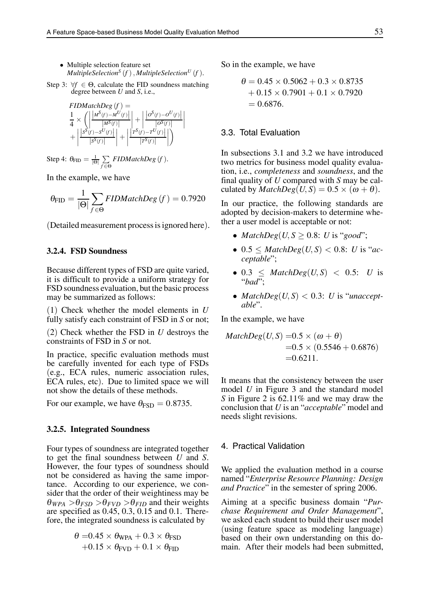- Multiple selection feature set *MultipleSelection<sup>S</sup>*  $(f)$ *, MultipleSelection<sup><i>U*</sup>  $(f)$ .
- Step 3:  $\forall f \in \Theta$ , calculate the FID soundness matching degree between *U* and *S*, i.e.,

$$
FIDMatchDeg(f) =
$$
\n
$$
\frac{1}{4} \times \left( \left| \frac{\left| M^{S}(f) - M^{U}(f) \right|}{\left| M^{S}(f) \right|} \right| + \left| \frac{\left| O^{S}(f) - O^{U}(f) \right|}{\left| O^{S}(f) \right|} \right| + \left| \frac{\left| S^{S}(f) - S^{U}(f) \right|}{\left| S^{S}(f) \right|} \right| + \left| \frac{\left| T^{S}(f) - T^{U}(f) \right|}{\left| T^{S}(f) \right|} \right| \right)
$$

Step 4:  $\theta_{\text{FID}} = \frac{1}{|\Theta|} \sum_{f \subset \Theta}$ *f* ∈Θ *FIDMatchDeg* (*f* ).

In the example, we have

$$
\theta_{\text{FID}} = \frac{1}{|\Theta|} \sum_{f \in \Theta} \text{FIDMatchDeg}(f) = 0.7920
$$

(Detailed measurement process is ignored here).

# **3.2.4. FSD Soundness**

Because different types of FSD are quite varied, it is difficult to provide a uniform strategy for FSD soundness evaluation, but the basic process may be summarized as follows:

(1) Check whether the model elements in *U* fully satisfy each constraint of FSD in *S* or not;

(2) Check whether the FSD in *U* destroys the constraints of FSD in *S* or not.

In practice, specific evaluation methods must be carefully invented for each type of FSDs (e.g., ECA rules, numeric association rules, ECA rules, etc). Due to limited space we will not show the details of these methods.

For our example, we have  $\theta_{\text{FSD}} = 0.8735$ .

#### **3.2.5. Integrated Soundness**

Four types of soundness are integrated together to get the final soundness between *U* and *S*. However, the four types of soundness should not be considered as having the same importance. According to our experience, we consider that the order of their weightiness may be  $\theta_{WPA} > \theta_{FSD} > \theta_{FVD} > \theta_{FID}$  and their weights are specified as 0.45, 0.3, 0.15 and 0.1. Therefore, the integrated soundness is calculated by

$$
\theta = 0.45 \times \theta_{\text{WPA}} + 0.3 \times \theta_{\text{FSD}}
$$

$$
+0.15 \times \theta_{\text{FVD}} + 0.1 \times \theta_{\text{FID}}
$$

So in the example, we have

$$
\theta = 0.45 \times 0.5062 + 0.3 \times 0.8735
$$
  
+ 0.15 \times 0.7901 + 0.1 \times 0.7920  
= 0.6876.

# 3.3. Total Evaluation

In subsections 3.1 and 3.2 we have introduced two metrics for business model quality evaluation, i.e., *completeness* and *soundness*, and the final quality of *U* compared with *S* may be calculated by  $MatchDeg(U, S) = 0.5 \times (\omega + \theta)$ .

In our practice, the following standards are adopted by decision-makers to determine whether a user model is acceptable or not:

- *MatchDeg*( $U, S \geq 0.8$ : *U* is "*good*";
- $0.5 \leq MatchDeg(U, S) < 0.8$ : *U* is "*acceptable*";
- $\bullet$  0.3  $\leq$  *MatchDeg*(*U, S*)  $\lt$  0.5: *U* is "*bad*";
- $MatchDeg(U, S) < 0.3$ : *U* is "*unacceptable*".

In the example, we have

$$
MatchDeg(U, S) = 0.5 \times (\omega + \theta)
$$
  
= 0.5 \times (0.5546 + 0.6876)  
= 0.6211.

It means that the consistency between the user model *U* in Figure 3 and the standard model *S* in Figure 2 is 62.11% and we may draw the conclusion that *U* is an "*acceptable*" model and needs slight revisions.

#### 4. Practical Validation

We applied the evaluation method in a course named "*Enterprise Resource Planning: Design and Practice*" in the semester of spring 2006.

Aiming at a specific business domain "*Purchase Requirement and Order Management*", we asked each student to build their user model (using feature space as modeling language) based on their own understanding on this domain. After their models had been submitted,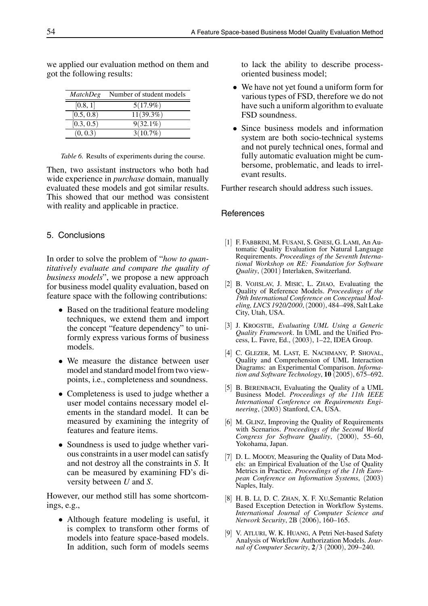we applied our evaluation method on them and got the following results:

| <i>MatchDeg</i> | Number of student models |
|-----------------|--------------------------|
| [0.8, 1]        | $5(17.9\%)$              |
| [0.5, 0.8)      | 11(39.3%)                |
| [0.3, 0.5)      | $9(32.1\%)$              |
| (0, 0.3)        | 3(10.7%)                 |

*Table 6.* Results of experiments during the course.

Then, two assistant instructors who both had wide experience in *purchase* domain, manually evaluated these models and got similar results. This showed that our method was consistent with reality and applicable in practice.

# 5. Conclusions

In order to solve the problem of "*how to quantitatively evaluate and compare the quality of business models*", we propose a new approach for business model quality evaluation, based on feature space with the following contributions:

- Based on the traditional feature modeling techniques, we extend them and import the concept "feature dependency" to uniformly express various forms of business models.
- We measure the distance between user model and standard model from two viewpoints, i.e., completeness and soundness.
- Completeness is used to judge whether a user model contains necessary model elements in the standard model. It can be measured by examining the integrity of features and feature items.
- Soundness is used to judge whether various constraints in a user model can satisfy and not destroy all the constraints in *S*. It can be measured by examining FD's diversity between *U* and *S*.

However, our method still has some shortcomings, e.g.,

• Although feature modeling is useful, it is complex to transform other forms of models into feature space-based models. In addition, such form of models seems

to lack the ability to describe processoriented business model;

- We have not yet found a uniform form for various types of FSD, therefore we do not have such a uniform algorithm to evaluate FSD soundness.
- Since business models and information system are both socio-technical systems and not purely technical ones, formal and fully automatic evaluation might be cumbersome, problematic, and leads to irrelevant results.

Further research should address such issues.

#### **References**

- [1] F. FABBRINI, M. FUSANI, S. GNESI, G. LAMI, An Automatic Quality Evaluation for Natural Language Requirements. *Proceedings of the Seventh International Workshop on RE: Foundation for Software Quality*, (2001) Interlaken, Switzerland.
- [2] B. VOJISLAV, J. MISIC, L. ZHAO, Evaluating the Quality of Reference Models. *Proceedings of the 19th International Conference on Conceptual Modeling, LNCS 1920/2000*,(2000), 484–498, Salt Lake City, Utah, USA.
- [3] J. KROGSTIE, *Evaluating UML Using a Generic Quality Framework*. In UML and the Unified Process, L. Favre, Ed., (2003), 1–22, IDEA Group.
- [4] C. GLEZER, M. LAST, E. NACHMANY, P. SHOVAL, Quality and Comprehension of UML Interaction Diagrams: an Experimental Comparison. *Information and Software Technology*, **10** (2005), 675–692.
- [5] B. BERENBACH, Evaluating the Quality of a UML Business Model. *Proceedings of the 11th IEEE International Conference on Requirements Engineering*, (2003) Stanford, CA, USA.
- [6] M. GLINZ, Improving the Quality of Requirements with Scenarios. *Proceedings of the Second World Congress for Software Quality*, (2000), 55–60, Yokohama, Japan.
- [7] D. L. MOODY, Measuring the Quality of Data Models: an Empirical Evaluation of the Use of Quality Metrics in Practice. *Proceedings of the 11th European Conference on Information Systems*, (2003) Naples, Italy.
- [8] H. B. LI, D. C. ZHAN, X. F. XU, Semantic Relation Based Exception Detection in Workflow Systems. *International Journal of Computer Science and Network Security*, 2B (2006), 160–165.
- [9] V. ATLURI, W. K. HUANG, A Petri Net-based Safety Analysis of Workflow Authorization Models. *Journal of Computer Security*, **2**/3 (2000), 209–240.